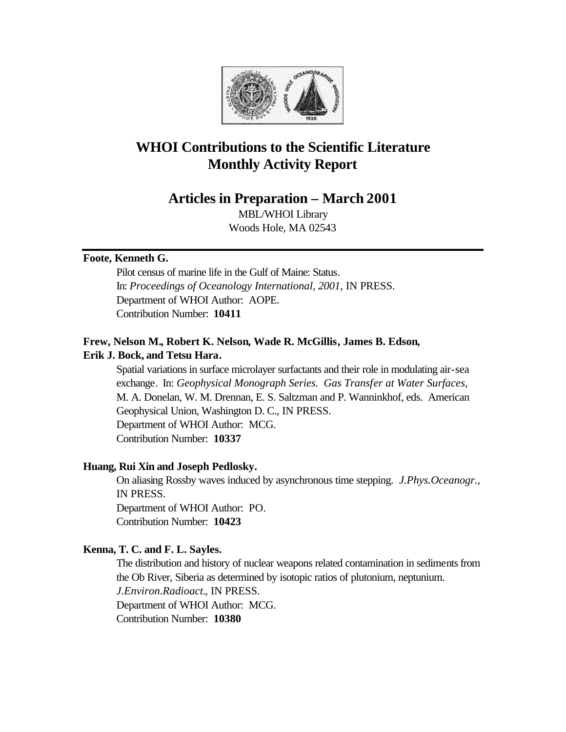

# **WHOI Contributions to the Scientific Literature Monthly Activity Report**

# **Articles in Preparation – March 2001**

MBL/WHOI Library Woods Hole, MA 02543

# **Foote, Kenneth G.**

Pilot census of marine life in the Gulf of Maine: Status. In: *Proceedings of Oceanology International, 2001*, IN PRESS. Department of WHOI Author: AOPE. Contribution Number: **10411**

# **Frew, Nelson M., Robert K. Nelson, Wade R. McGillis, James B. Edson, Erik J. Bock, and Tetsu Hara.**

Spatial variations in surface microlayer surfactants and their role in modulating air-sea exchange. In: *Geophysical Monograph Series. Gas Transfer at Water Surfaces,*  M. A. Donelan, W. M. Drennan, E. S. Saltzman and P. Wanninkhof, eds. American Geophysical Union, Washington D. C., IN PRESS. Department of WHOI Author: MCG. Contribution Number: **10337**

### **Huang, Rui Xin and Joseph Pedlosky.**

On aliasing Rossby waves induced by asynchronous time stepping. *J.Phys.Oceanogr.*, IN PRESS. Department of WHOI Author: PO. Contribution Number: **10423**

# **Kenna, T. C. and F. L. Sayles.**

The distribution and history of nuclear weapons related contamination in sediments from the Ob River, Siberia as determined by isotopic ratios of plutonium, neptunium. *J.Environ.Radioact.*, IN PRESS. Department of WHOI Author: MCG. Contribution Number: **10380**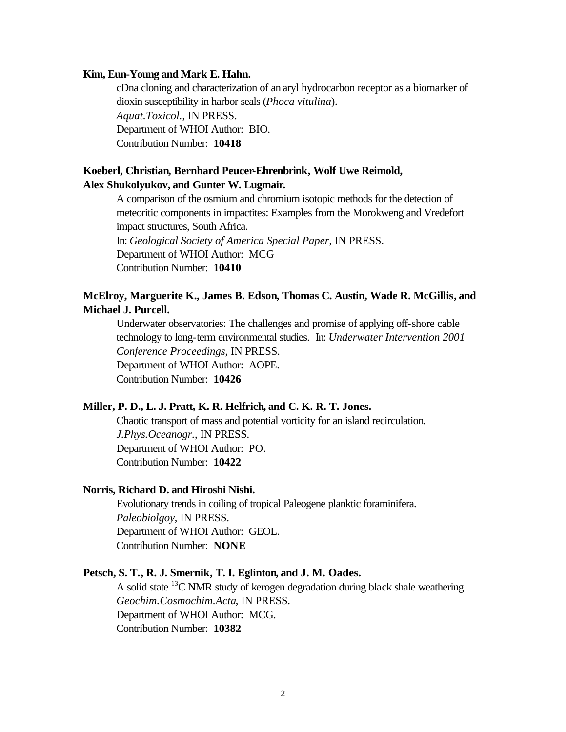#### **Kim, Eun-Young and Mark E. Hahn.**

cDna cloning and characterization of an aryl hydrocarbon receptor as a biomarker of dioxin susceptibility in harbor seals (*Phoca vitulina*). *Aquat.Toxicol.*, IN PRESS. Department of WHOI Author: BIO. Contribution Number: **10418**

# **Koeberl, Christian, Bernhard Peucer-Ehrenbrink, Wolf Uwe Reimold, Alex Shukolyukov, and Gunter W. Lugmair.**

A comparison of the osmium and chromium isotopic methods for the detection of meteoritic components in impactites: Examples from the Morokweng and Vredefort impact structures, South Africa. In: *Geological Society of America Special Paper*, IN PRESS.

Department of WHOI Author: MCG

Contribution Number: **10410**

# **McElroy, Marguerite K., James B. Edson, Thomas C. Austin, Wade R. McGillis, and Michael J. Purcell.**

Underwater observatories: The challenges and promise of applying off-shore cable technology to long-term environmental studies. In: *Underwater Intervention 2001 Conference Proceedings*, IN PRESS. Department of WHOI Author: AOPE. Contribution Number: **10426**

#### **Miller, P. D., L. J. Pratt, K. R. Helfrich, and C. K. R. T. Jones.**

Chaotic transport of mass and potential vorticity for an island recirculation. *J.Phys.Oceanogr.*, IN PRESS. Department of WHOI Author: PO. Contribution Number: **10422**

#### **Norris, Richard D. and Hiroshi Nishi.**

Evolutionary trends in coiling of tropical Paleogene planktic foraminifera. *Paleobiolgoy*, IN PRESS. Department of WHOI Author: GEOL. Contribution Number: **NONE**

#### **Petsch, S. T., R. J. Smernik, T. I. Eglinton, and J. M. Oades.**

A solid state <sup>13</sup>C NMR study of kerogen degradation during black shale weathering. *Geochim.Cosmochim.Acta*, IN PRESS. Department of WHOI Author: MCG. Contribution Number: **10382**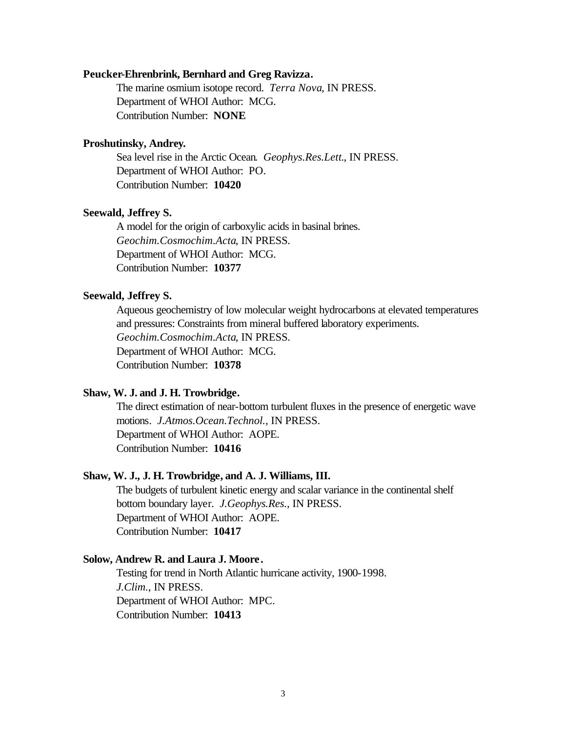#### **Peucker-Ehrenbrink, Bernhard and Greg Ravizza.**

The marine osmium isotope record. *Terra Nova*, IN PRESS. Department of WHOI Author: MCG. Contribution Number: **NONE**

#### **Proshutinsky, Andrey.**

Sea level rise in the Arctic Ocean. *Geophys.Res.Lett.*, IN PRESS. Department of WHOI Author: PO. Contribution Number: **10420**

#### **Seewald, Jeffrey S.**

A model for the origin of carboxylic acids in basinal brines. *Geochim.Cosmochim.Acta*, IN PRESS. Department of WHOI Author: MCG. Contribution Number: **10377**

#### **Seewald, Jeffrey S.**

Aqueous geochemistry of low molecular weight hydrocarbons at elevated temperatures and pressures: Constraints from mineral buffered laboratory experiments. *Geochim.Cosmochim.Acta*, IN PRESS. Department of WHOI Author: MCG. Contribution Number: **10378**

#### **Shaw, W. J. and J. H. Trowbridge.**

The direct estimation of near-bottom turbulent fluxes in the presence of energetic wave motions. *J.Atmos.Ocean.Technol.*, IN PRESS. Department of WHOI Author: AOPE. Contribution Number: **10416**

#### **Shaw, W. J., J. H. Trowbridge, and A. J. Williams, III.**

The budgets of turbulent kinetic energy and scalar variance in the continental shelf bottom boundary layer. *J.Geophys.Res.*, IN PRESS. Department of WHOI Author: AOPE. Contribution Number: **10417**

#### **Solow, Andrew R. and Laura J. Moore.**

Testing for trend in North Atlantic hurricane activity, 1900-1998. *J.Clim.*, IN PRESS. Department of WHOI Author: MPC. Contribution Number: **10413**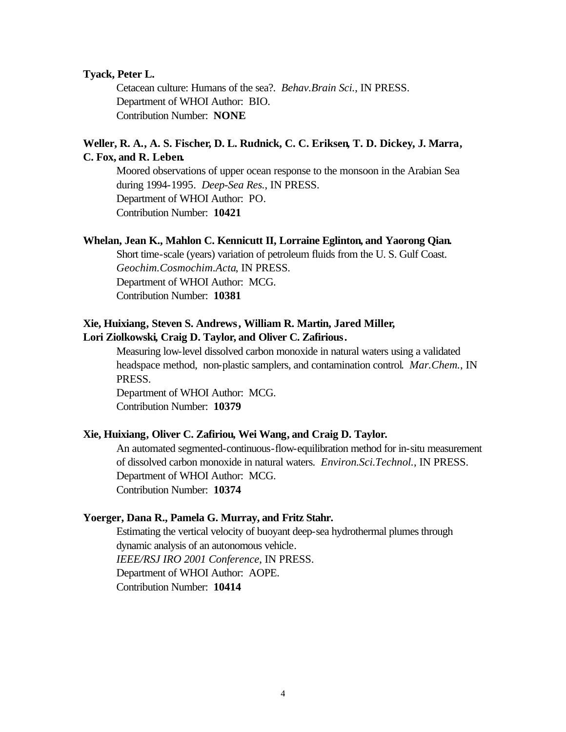#### **Tyack, Peter L.**

Cetacean culture: Humans of the sea?. *Behav.Brain Sci.*, IN PRESS. Department of WHOI Author: BIO. Contribution Number: **NONE**

### **Weller, R. A., A. S. Fischer, D. L. Rudnick, C. C. Eriksen, T. D. Dickey, J. Marra, C. Fox, and R. Leben.**

Moored observations of upper ocean response to the monsoon in the Arabian Sea during 1994-1995. *Deep-Sea Res.*, IN PRESS. Department of WHOI Author: PO. Contribution Number: **10421**

#### **Whelan, Jean K., Mahlon C. Kennicutt II, Lorraine Eglinton, and Yaorong Qian.**

Short time-scale (years) variation of petroleum fluids from the U. S. Gulf Coast. *Geochim.Cosmochim.Acta*, IN PRESS. Department of WHOI Author: MCG. Contribution Number: **10381**

# **Xie, Huixiang, Steven S. Andrews, William R. Martin, Jared Miller,**

#### **Lori Ziolkowski, Craig D. Taylor, and Oliver C. Zafirious.**

Measuring low-level dissolved carbon monoxide in natural waters using a validated headspace method, non-plastic samplers, and contamination control. *Mar.Chem.*, IN PRESS.

Department of WHOI Author: MCG. Contribution Number: **10379**

#### **Xie, Huixiang, Oliver C. Zafiriou, Wei Wang, and Craig D. Taylor.**

An automated segmented-continuous-flow-equilibration method for in-situ measurement of dissolved carbon monoxide in natural waters. *Environ.Sci.Technol.*, IN PRESS. Department of WHOI Author: MCG. Contribution Number: **10374**

#### **Yoerger, Dana R., Pamela G. Murray, and Fritz Stahr.**

Estimating the vertical velocity of buoyant deep-sea hydrothermal plumes through dynamic analysis of an autonomous vehicle. *IEEE/RSJ IRO 2001 Conference*, IN PRESS. Department of WHOI Author: AOPE. Contribution Number: **10414**